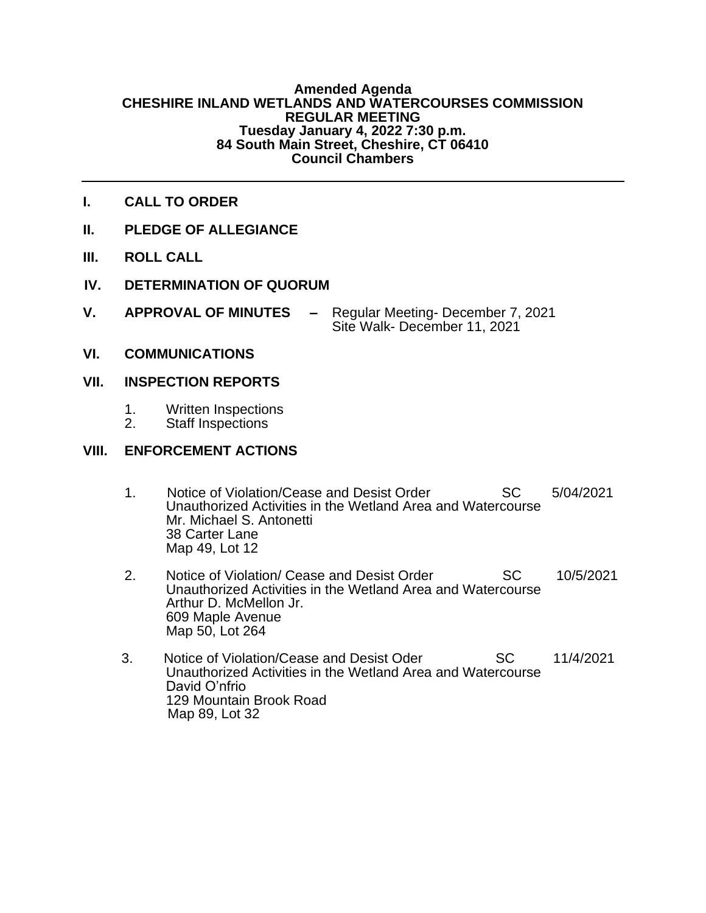#### **Amended Agenda CHESHIRE INLAND WETLANDS AND WATERCOURSES COMMISSION REGULAR MEETING Tuesday January 4, 2022 7:30 p.m. 84 South Main Street, Cheshire, CT 06410 Council Chambers**

- **I. CALL TO ORDER**
- **II. PLEDGE OF ALLEGIANCE**
- **III. ROLL CALL**
- **IV. DETERMINATION OF QUORUM**
- **V. APPROVAL OF MINUTES –** Regular Meeting- December 7, 2021 Site Walk- December 11, 2021
- **VI. COMMUNICATIONS**

### **VII. INSPECTION REPORTS**

- 1. Written Inspections<br>2. Staff Inspections
- Staff Inspections

### **VIII. ENFORCEMENT ACTIONS**

- 1. Notice of Violation/Cease and Desist Order SC 5/04/2021 Unauthorized Activities in the Wetland Area and Watercourse Mr. Michael S. Antonetti 38 Carter Lane Map 49, Lot 12
- 2. Notice of Violation/ Cease and Desist Order SC 10/5/2021 Unauthorized Activities in the Wetland Area and Watercourse Arthur D. McMellon Jr. 609 Maple Avenue Map 50, Lot 264
- 3. Notice of Violation/Cease and Desist Oder SC 11/4/2021 Unauthorized Activities in the Wetland Area and Watercourse David O'nfrio 129 Mountain Brook Road Map 89, Lot 32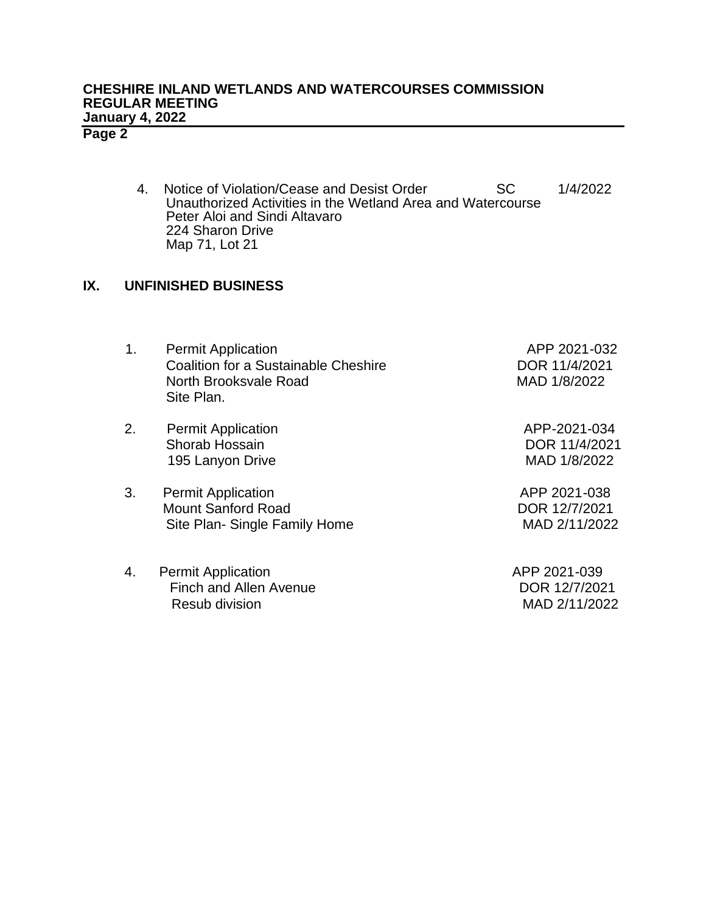# **CHESHIRE INLAND WETLANDS AND WATERCOURSES COMMISSION REGULAR MEETING January 4, 2022**

# **Page 2**

4. Notice of Violation/Cease and Desist Order SC 1/4/2022 Unauthorized Activities in the Wetland Area and Watercourse Peter Aloi and Sindi Altavaro 224 Sharon Drive Map 71, Lot 21

## **IX. UNFINISHED BUSINESS**

| 1. | <b>Permit Application</b><br><b>Coalition for a Sustainable Cheshire</b><br>North Brooksvale Road<br>Site Plan. | APP 2021-032<br>DOR 11/4/2021<br>MAD 1/8/2022  |
|----|-----------------------------------------------------------------------------------------------------------------|------------------------------------------------|
| 2. | <b>Permit Application</b><br>Shorab Hossain<br>195 Lanyon Drive                                                 | APP-2021-034<br>DOR 11/4/2021<br>MAD 1/8/2022  |
| 3. | <b>Permit Application</b><br><b>Mount Sanford Road</b><br>Site Plan- Single Family Home                         | APP 2021-038<br>DOR 12/7/2021<br>MAD 2/11/2022 |
| 4. | <b>Permit Application</b><br><b>Finch and Allen Avenue</b><br>Resub division                                    | APP 2021-039<br>DOR 12/7/2021<br>MAD 2/11/2022 |